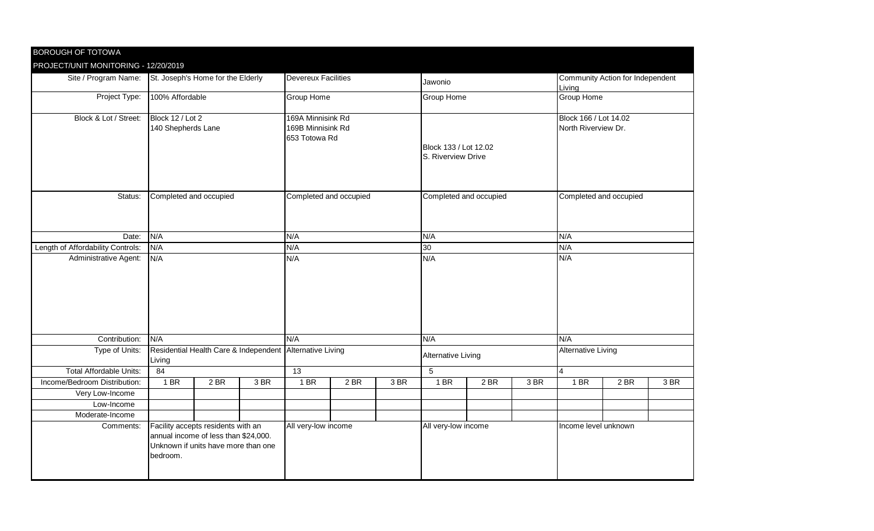| BOROUGH OF TOTOWA                    |                                                                                                                               |                        |     |                                                         |     |      |                                             |                        |     |                                              |      |      |  |
|--------------------------------------|-------------------------------------------------------------------------------------------------------------------------------|------------------------|-----|---------------------------------------------------------|-----|------|---------------------------------------------|------------------------|-----|----------------------------------------------|------|------|--|
| PROJECT/UNIT MONITORING - 12/20/2019 |                                                                                                                               |                        |     |                                                         |     |      |                                             |                        |     |                                              |      |      |  |
| Site / Program Name:                 | St. Joseph's Home for the Elderly                                                                                             |                        |     | <b>Devereux Facilities</b>                              |     |      | Jawonio                                     |                        |     | Community Action for Independent<br>Living   |      |      |  |
| Project Type:                        | 100% Affordable                                                                                                               |                        |     | Group Home                                              |     |      | <b>Group Home</b>                           |                        |     | Group Home                                   |      |      |  |
| Block & Lot / Street:                | Block 12 / Lot 2<br>140 Shepherds Lane                                                                                        |                        |     | 169A Minnisink Rd<br>169B Minnisink Rd<br>653 Totowa Rd |     |      | Block 133 / Lot 12.02<br>S. Riverview Drive |                        |     | Block 166 / Lot 14.02<br>North Riverview Dr. |      |      |  |
| Status:                              |                                                                                                                               | Completed and occupied |     | Completed and occupied                                  |     |      |                                             | Completed and occupied |     | Completed and occupied                       |      |      |  |
| Date:                                | N/A                                                                                                                           |                        |     | N/A                                                     |     |      | N/A                                         |                        |     | N/A                                          |      |      |  |
| Length of Affordability Controls:    | N/A                                                                                                                           |                        |     | N/A                                                     |     |      | 30 <sup>2</sup>                             |                        |     | N/A                                          |      |      |  |
| Administrative Agent:                | N/A                                                                                                                           |                        |     | N/A                                                     |     |      | N/A                                         |                        |     | N/A                                          |      |      |  |
| Contribution:                        | N/A                                                                                                                           |                        |     | N/A                                                     |     |      | N/A                                         |                        |     | N/A                                          |      |      |  |
| Type of Units:                       | Residential Health Care & Independent Alternative Living<br>Living                                                            |                        |     |                                                         |     |      | <b>Alternative Living</b>                   |                        |     | <b>Alternative Living</b>                    |      |      |  |
| <b>Total Affordable Units:</b>       |                                                                                                                               | 84                     |     |                                                         |     |      | $\overline{5}$                              |                        |     | $\overline{4}$                               |      |      |  |
| Income/Bedroom Distribution:         | 1 BR                                                                                                                          | 2 BR                   | 3BR | 1 BR                                                    | 2BR | 3 BR | 1 BR                                        | 2BR                    | 3BR | 1 BR                                         | 2 BR | 3 BR |  |
| Very Low-Income                      |                                                                                                                               |                        |     |                                                         |     |      |                                             |                        |     |                                              |      |      |  |
| Low-Income                           |                                                                                                                               |                        |     |                                                         |     |      |                                             |                        |     |                                              |      |      |  |
| Moderate-Income                      |                                                                                                                               |                        |     |                                                         |     |      |                                             |                        |     |                                              |      |      |  |
| Comments:                            | Facility accepts residents with an<br>annual income of less than \$24,000.<br>Unknown if units have more than one<br>bedroom. |                        |     | All very-low income                                     |     |      | All very-low income                         |                        |     | Income level unknown                         |      |      |  |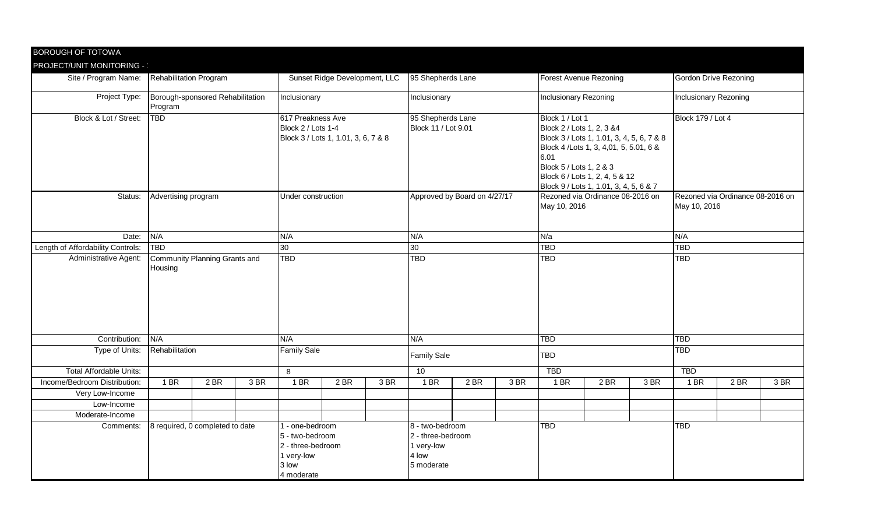| <b>BOROUGH OF TOTOWA</b>                            |                                             |                 |      |                                                                                            |                    |                               |                                                                           |                              |                   |                                                                                                                                                                                                            |      |                               |                                                  |      |                              |  |  |
|-----------------------------------------------------|---------------------------------------------|-----------------|------|--------------------------------------------------------------------------------------------|--------------------|-------------------------------|---------------------------------------------------------------------------|------------------------------|-------------------|------------------------------------------------------------------------------------------------------------------------------------------------------------------------------------------------------------|------|-------------------------------|--------------------------------------------------|------|------------------------------|--|--|
| PROJECT/UNIT MONITORING - '<br>Site / Program Name: | <b>Rehabilitation Program</b>               |                 |      |                                                                                            |                    | Sunset Ridge Development, LLC |                                                                           |                              | 95 Shepherds Lane |                                                                                                                                                                                                            |      | <b>Forest Avenue Rezoning</b> |                                                  |      | <b>Gordon Drive Rezoning</b> |  |  |
| Project Type:                                       | Borough-sponsored Rehabilitation<br>Program |                 |      | Inclusionary                                                                               |                    |                               |                                                                           | Inclusionary                 |                   | Inclusionary Rezoning                                                                                                                                                                                      |      |                               | Inclusionary Rezoning                            |      |                              |  |  |
| Block & Lot / Street:                               | <b>TBD</b>                                  |                 |      | 617 Preakness Ave<br>Block 2 / Lots 1-4<br>Block 3 / Lots 1, 1.01, 3, 6, 7 & 8             |                    |                               | 95 Shepherds Lane<br>Block 11 / Lot 9.01                                  |                              |                   | Block 1 / Lot 1<br>Block 2 / Lots 1, 2, 3 & 4<br>Block 3 / Lots 1, 1.01, 3, 4, 5, 6, 7 & 8<br>Block 4 / Lots 1, 3, 4,01, 5, 5.01, 6 &<br>6.01<br>Block 5 / Lots 1, 2 & 3<br>Block 6 / Lots 1, 2, 4, 5 & 12 |      |                               | <b>Block 179 / Lot 4</b>                         |      |                              |  |  |
| Status:                                             | Advertising program                         |                 |      |                                                                                            | Under construction |                               |                                                                           | Approved by Board on 4/27/17 |                   | Block 9 / Lots 1, 1.01, 3, 4, 5, 6 & 7<br>Rezoned via Ordinance 08-2016 on<br>May 10, 2016                                                                                                                 |      |                               | Rezoned via Ordinance 08-2016 on<br>May 10, 2016 |      |                              |  |  |
| Date:                                               | N/A                                         |                 |      | N/A                                                                                        |                    |                               | N/A                                                                       |                              |                   | N/a                                                                                                                                                                                                        |      |                               | N/A                                              |      |                              |  |  |
| Length of Affordability Controls:                   | <b>TBD</b>                                  | 30 <sup>2</sup> |      |                                                                                            |                    |                               | 30 <sup>°</sup>                                                           |                              |                   | <b>TBD</b>                                                                                                                                                                                                 |      |                               | <b>TBD</b>                                       |      |                              |  |  |
| Administrative Agent:                               | Community Planning Grants and<br>Housing    |                 |      | <b>TBD</b>                                                                                 |                    |                               | <b>TBD</b>                                                                |                              |                   | <b>TBD</b>                                                                                                                                                                                                 |      |                               | <b>TBD</b>                                       |      |                              |  |  |
| Contribution:                                       | N/A                                         |                 |      | N/A                                                                                        |                    |                               | N/A                                                                       |                              |                   | <b>TBD</b>                                                                                                                                                                                                 |      |                               | <b>TBD</b>                                       |      |                              |  |  |
| Type of Units:                                      | Rehabilitation                              |                 |      | <b>Family Sale</b>                                                                         |                    |                               | <b>Family Sale</b>                                                        |                              |                   | TBD                                                                                                                                                                                                        |      |                               | <b>TBD</b>                                       |      |                              |  |  |
| <b>Total Affordable Units:</b>                      |                                             |                 |      | 8                                                                                          |                    |                               | 10                                                                        |                              |                   | <b>TBD</b>                                                                                                                                                                                                 |      |                               | <b>TBD</b>                                       |      |                              |  |  |
| Income/Bedroom Distribution:                        | 1 BR                                        | 2 BR            | 3 BR | 1 BR                                                                                       | 2 BR               | 3 BR                          | 1 BR                                                                      | 2 BR                         | 3 BR              | 1 BR                                                                                                                                                                                                       | 2 BR | 3 BR                          | 1 BR                                             | 2 BR | 3 BR                         |  |  |
| Very Low-Income                                     |                                             |                 |      |                                                                                            |                    |                               |                                                                           |                              |                   |                                                                                                                                                                                                            |      |                               |                                                  |      |                              |  |  |
| Low-Income                                          |                                             |                 |      |                                                                                            |                    |                               |                                                                           |                              |                   |                                                                                                                                                                                                            |      |                               |                                                  |      |                              |  |  |
| Moderate-Income                                     |                                             |                 |      |                                                                                            |                    |                               |                                                                           |                              |                   |                                                                                                                                                                                                            |      |                               |                                                  |      |                              |  |  |
| Comments:<br>8 required, 0 completed to date        |                                             |                 |      | - one-bedroom<br>5 - two-bedroom<br>2 - three-bedroom<br>1 very-low<br>3 low<br>4 moderate |                    |                               | 8 - two-bedroom<br>2 - three-bedroom<br>1 very-low<br>4 low<br>5 moderate |                              |                   | <b>TBD</b>                                                                                                                                                                                                 |      |                               | <b>TBD</b>                                       |      |                              |  |  |